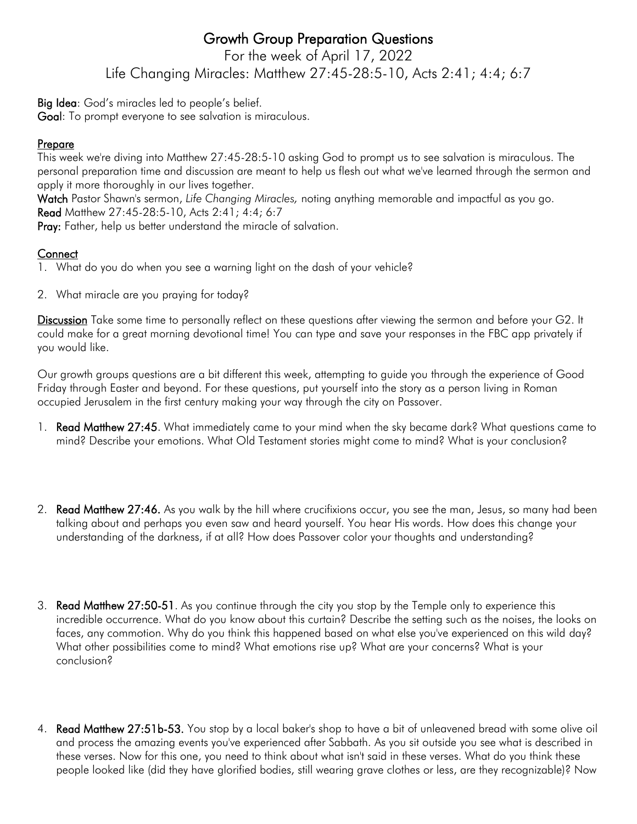## Growth Group Preparation Questions

For the week of April 17, 2022 Life Changing Miracles: Matthew 27:45-28:5-10, Acts 2:41; 4:4; 6:7

Big Idea: God's miracles led to people's belief.

Goal: To prompt everyone to see salvation is miraculous.

## Prepare

This week we're diving into Matthew 27:45-28:5-10 asking God to prompt us to see salvation is miraculous. The personal preparation time and discussion are meant to help us flesh out what we've learned through the sermon and apply it more thoroughly in our lives together.

Watch Pastor Shawn's sermon, *Life Changing Miracles,* noting anything memorable and impactful as you go. Read Matthew 27:45-28:5-10, Acts 2:41; 4:4; 6:7

Pray: Father, help us better understand the miracle of salvation.

## **Connect**

- 1. What do you do when you see a warning light on the dash of your vehicle?
- 2. What miracle are you praying for today?

Discussion Take some time to personally reflect on these questions after viewing the sermon and before your G2. It could make for a great morning devotional time! You can type and save your responses in the FBC app privately if you would like.

Our growth groups questions are a bit different this week, attempting to guide you through the experience of Good Friday through Easter and beyond. For these questions, put yourself into the story as a person living in Roman occupied Jerusalem in the first century making your way through the city on Passover.

- 1. Read Matthew 27:45. What immediately came to your mind when the sky became dark? What questions came to mind? Describe your emotions. What Old Testament stories might come to mind? What is your conclusion?
- 2. Read Matthew 27:46. As you walk by the hill where crucifixions occur, you see the man, Jesus, so many had been talking about and perhaps you even saw and heard yourself. You hear His words. How does this change your understanding of the darkness, if at all? How does Passover color your thoughts and understanding?
- 3. Read Matthew 27:50-51. As you continue through the city you stop by the Temple only to experience this incredible occurrence. What do you know about this curtain? Describe the setting such as the noises, the looks on faces, any commotion. Why do you think this happened based on what else you've experienced on this wild day? What other possibilities come to mind? What emotions rise up? What are your concerns? What is your conclusion?
- 4. Read Matthew 27:51b-53. You stop by a local baker's shop to have a bit of unleavened bread with some olive oil and process the amazing events you've experienced after Sabbath. As you sit outside you see what is described in these verses. Now for this one, you need to think about what isn't said in these verses. What do you think these people looked like (did they have glorified bodies, still wearing grave clothes or less, are they recognizable)? Now